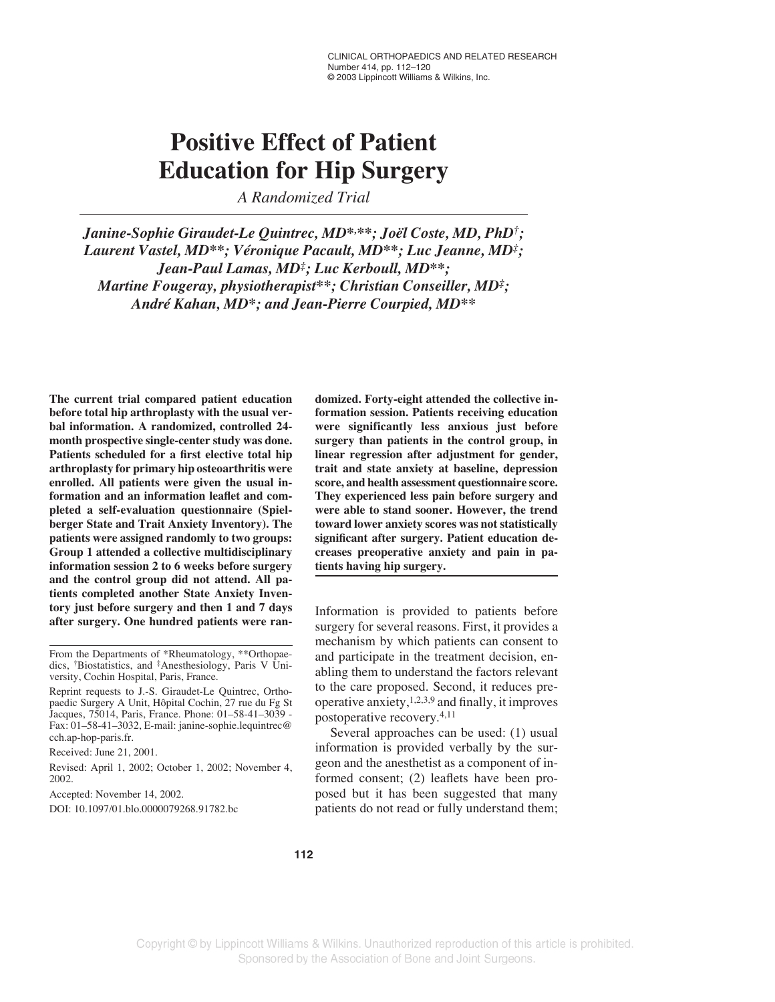# **Positive Effect of Patient Education for Hip Surgery**

*A Randomized Trial*

*Janine-Sophie Giraudet-Le Quintrec, MD\*, \*\*; Joël Coste, MD, PhD†; Laurent Vastel, MD\*\*; Véronique Pacault, MD\*\*; Luc Jeanne, MD‡; Jean-Paul Lamas, MD‡; Luc Kerboull, MD\*\*; Martine Fougeray, physiotherapist\*\*; Christian Conseiller, MD‡; André Kahan, MD\*; and Jean-Pierre Courpied, MD\*\**

**The current trial compared patient education before total hip arthroplasty with the usual verbal information. A randomized, controlled 24 month prospective single-center study was done. Patients scheduled for a first elective total hip arthroplasty for primary hip osteoarthritis were enrolled. All patients were given the usual information and an information leaflet and completed a self-evaluation questionnaire (Spielberger State and Trait Anxiety Inventory). The patients were assigned randomly to two groups: Group 1 attended a collective multidisciplinary information session 2 to 6 weeks before surgery and the control group did not attend. All patients completed another State Anxiety Inventory just before surgery and then 1 and 7 days after surgery. One hundred patients were ran-**

Received: June 21, 2001.

Revised: April 1, 2002; October 1, 2002; November 4, 2002.

Accepted: November 14, 2002.

DOI: 10.1097/01.blo.0000079268.91782.bc

**domized. Forty-eight attended the collective information session. Patients receiving education were significantly less anxious just before surgery than patients in the control group, in linear regression after adjustment for gender, trait and state anxiety at baseline, depression score, and health assessment questionnaire score. They experienced less pain before surgery and were able to stand sooner. However, the trend toward lower anxiety scores was not statistically significant after surgery. Patient education decreases preoperative anxiety and pain in patients having hip surgery.**

Information is provided to patients before surgery for several reasons. First, it provides a mechanism by which patients can consent to and participate in the treatment decision, enabling them to understand the factors relevant to the care proposed. Second, it reduces preoperative anxiety,1,2,3,9 and finally, it improves postoperative recovery.4,11

Several approaches can be used: (1) usual information is provided verbally by the surgeon and the anesthetist as a component of informed consent; (2) leaflets have been proposed but it has been suggested that many patients do not read or fully understand them;

From the Departments of \*Rheumatology, \*\*Orthopaedics, †Biostatistics, and ‡Anesthesiology, Paris V University, Cochin Hospital, Paris, France.

Reprint requests to J.-S. Giraudet-Le Quintrec, Orthopaedic Surgery A Unit, Hôpital Cochin, 27 rue du Fg St Jacques, 75014, Paris, France. Phone: 01–58-41–3039 - Fax: 01–58-41–3032, E-mail: janine-sophie.lequintrec@ cch.ap-hop-paris.fr.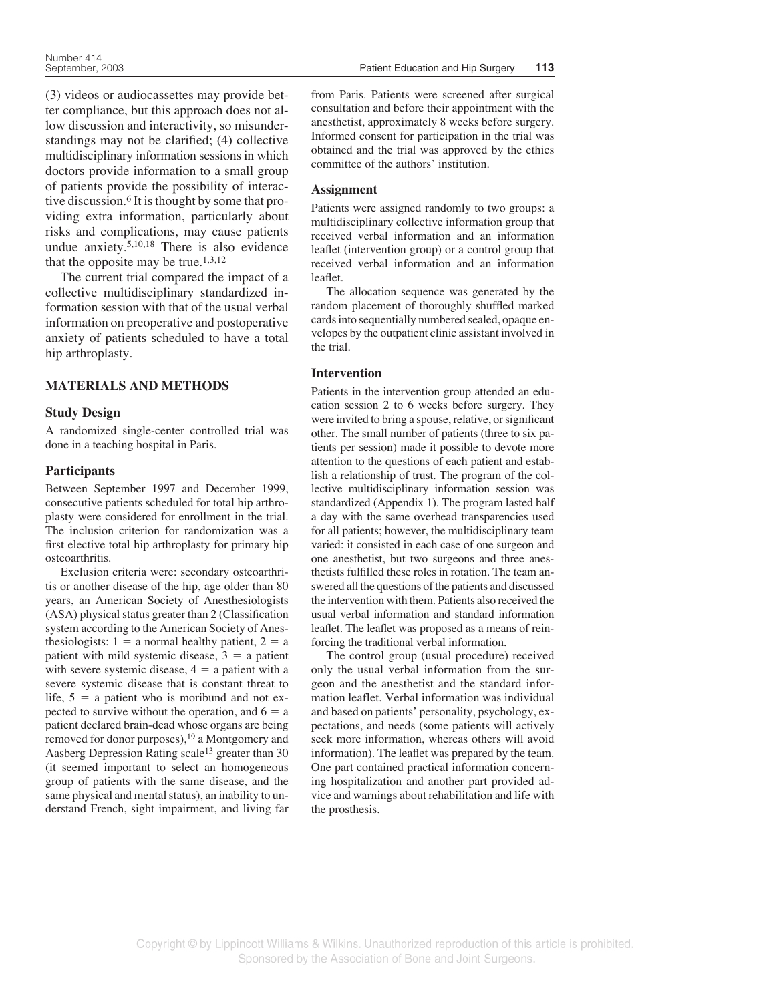(3) videos or audiocassettes may provide better compliance, but this approach does not allow discussion and interactivity, so misunderstandings may not be clarified; (4) collective multidisciplinary information sessions in which doctors provide information to a small group of patients provide the possibility of interactive discussion.<sup>6</sup> It is thought by some that providing extra information, particularly about risks and complications, may cause patients undue anxiety.5,10,18 There is also evidence that the opposite may be true. $1,3,12$ 

The current trial compared the impact of a collective multidisciplinary standardized information session with that of the usual verbal information on preoperative and postoperative anxiety of patients scheduled to have a total hip arthroplasty.

## **MATERIALS AND METHODS**

#### **Study Design**

A randomized single-center controlled trial was done in a teaching hospital in Paris.

#### **Participants**

Between September 1997 and December 1999, consecutive patients scheduled for total hip arthroplasty were considered for enrollment in the trial. The inclusion criterion for randomization was a first elective total hip arthroplasty for primary hip osteoarthritis.

Exclusion criteria were: secondary osteoarthritis or another disease of the hip, age older than 80 years, an American Society of Anesthesiologists (ASA) physical status greater than 2 (Classification system according to the American Society of Anesthesiologists:  $1 = a$  normal healthy patient,  $2 = a$ patient with mild systemic disease,  $3 = a$  patient with severe systemic disease,  $4 = a$  patient with a severe systemic disease that is constant threat to life,  $5 = a$  patient who is moribund and not expected to survive without the operation, and  $6 = a$ patient declared brain-dead whose organs are being removed for donor purposes),19 a Montgomery and Aasberg Depression Rating scale13 greater than 30 (it seemed important to select an homogeneous group of patients with the same disease, and the same physical and mental status), an inability to understand French, sight impairment, and living far

from Paris. Patients were screened after surgical consultation and before their appointment with the anesthetist, approximately 8 weeks before surgery. Informed consent for participation in the trial was obtained and the trial was approved by the ethics committee of the authors' institution.

#### **Assignment**

Patients were assigned randomly to two groups: a multidisciplinary collective information group that received verbal information and an information leaflet (intervention group) or a control group that received verbal information and an information leaflet.

The allocation sequence was generated by the random placement of thoroughly shuffled marked cards into sequentially numbered sealed, opaque envelopes by the outpatient clinic assistant involved in the trial.

#### **Intervention**

Patients in the intervention group attended an education session 2 to 6 weeks before surgery. They were invited to bring a spouse, relative, or significant other. The small number of patients (three to six patients per session) made it possible to devote more attention to the questions of each patient and establish a relationship of trust. The program of the collective multidisciplinary information session was standardized (Appendix 1). The program lasted half a day with the same overhead transparencies used for all patients; however, the multidisciplinary team varied: it consisted in each case of one surgeon and one anesthetist, but two surgeons and three anesthetists fulfilled these roles in rotation. The team answered all the questions of the patients and discussed the intervention with them. Patients also received the usual verbal information and standard information leaflet. The leaflet was proposed as a means of reinforcing the traditional verbal information.

The control group (usual procedure) received only the usual verbal information from the surgeon and the anesthetist and the standard information leaflet. Verbal information was individual and based on patients' personality, psychology, expectations, and needs (some patients will actively seek more information, whereas others will avoid information). The leaflet was prepared by the team. One part contained practical information concerning hospitalization and another part provided advice and warnings about rehabilitation and life with the prosthesis.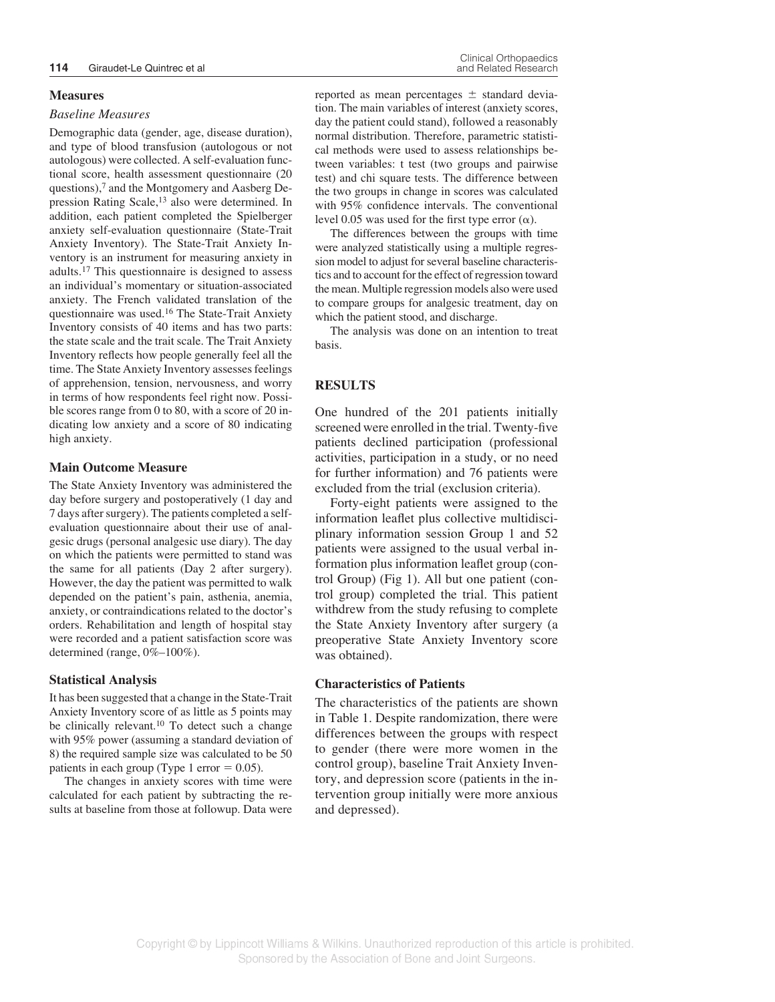#### **Measures**

#### *Baseline Measures*

Demographic data (gender, age, disease duration), and type of blood transfusion (autologous or not autologous) were collected. A self-evaluation functional score, health assessment questionnaire (20 questions),7 and the Montgomery and Aasberg Depression Rating Scale,<sup>13</sup> also were determined. In addition, each patient completed the Spielberger anxiety self-evaluation questionnaire (State-Trait Anxiety Inventory). The State-Trait Anxiety Inventory is an instrument for measuring anxiety in adults.17 This questionnaire is designed to assess an individual's momentary or situation-associated anxiety. The French validated translation of the questionnaire was used.16 The State-Trait Anxiety Inventory consists of 40 items and has two parts: the state scale and the trait scale. The Trait Anxiety Inventory reflects how people generally feel all the time. The State Anxiety Inventory assesses feelings of apprehension, tension, nervousness, and worry in terms of how respondents feel right now. Possible scores range from 0 to 80, with a score of 20 indicating low anxiety and a score of 80 indicating high anxiety.

## **Main Outcome Measure**

The State Anxiety Inventory was administered the day before surgery and postoperatively (1 day and 7 days after surgery). The patients completed a selfevaluation questionnaire about their use of analgesic drugs (personal analgesic use diary). The day on which the patients were permitted to stand was the same for all patients (Day 2 after surgery). However, the day the patient was permitted to walk depended on the patient's pain, asthenia, anemia, anxiety, or contraindications related to the doctor's orders. Rehabilitation and length of hospital stay were recorded and a patient satisfaction score was determined (range, 0%–100%).

## **Statistical Analysis**

It has been suggested that a change in the State-Trait Anxiety Inventory score of as little as 5 points may be clinically relevant.<sup>10</sup> To detect such a change with 95% power (assuming a standard deviation of 8) the required sample size was calculated to be 50 patients in each group (Type 1 error  $= 0.05$ ).

The changes in anxiety scores with time were calculated for each patient by subtracting the results at baseline from those at followup. Data were

reported as mean percentages  $\pm$  standard deviation. The main variables of interest (anxiety scores, day the patient could stand), followed a reasonably normal distribution. Therefore, parametric statistical methods were used to assess relationships between variables: t test (two groups and pairwise test) and chi square tests. The difference between the two groups in change in scores was calculated with 95% confidence intervals. The conventional level 0.05 was used for the first type error  $(\alpha)$ .

The differences between the groups with time were analyzed statistically using a multiple regression model to adjust for several baseline characteristics and to account for the effect of regression toward the mean. Multiple regression models also were used to compare groups for analgesic treatment, day on which the patient stood, and discharge.

The analysis was done on an intention to treat basis.

## **RESULTS**

One hundred of the 201 patients initially screened were enrolled in the trial. Twenty-five patients declined participation (professional activities, participation in a study, or no need for further information) and 76 patients were excluded from the trial (exclusion criteria).

Forty-eight patients were assigned to the information leaflet plus collective multidisciplinary information session Group 1 and 52 patients were assigned to the usual verbal information plus information leaflet group (control Group) (Fig 1). All but one patient (control group) completed the trial. This patient withdrew from the study refusing to complete the State Anxiety Inventory after surgery (a preoperative State Anxiety Inventory score was obtained).

## **Characteristics of Patients**

The characteristics of the patients are shown in Table 1. Despite randomization, there were differences between the groups with respect to gender (there were more women in the control group), baseline Trait Anxiety Inventory, and depression score (patients in the intervention group initially were more anxious and depressed).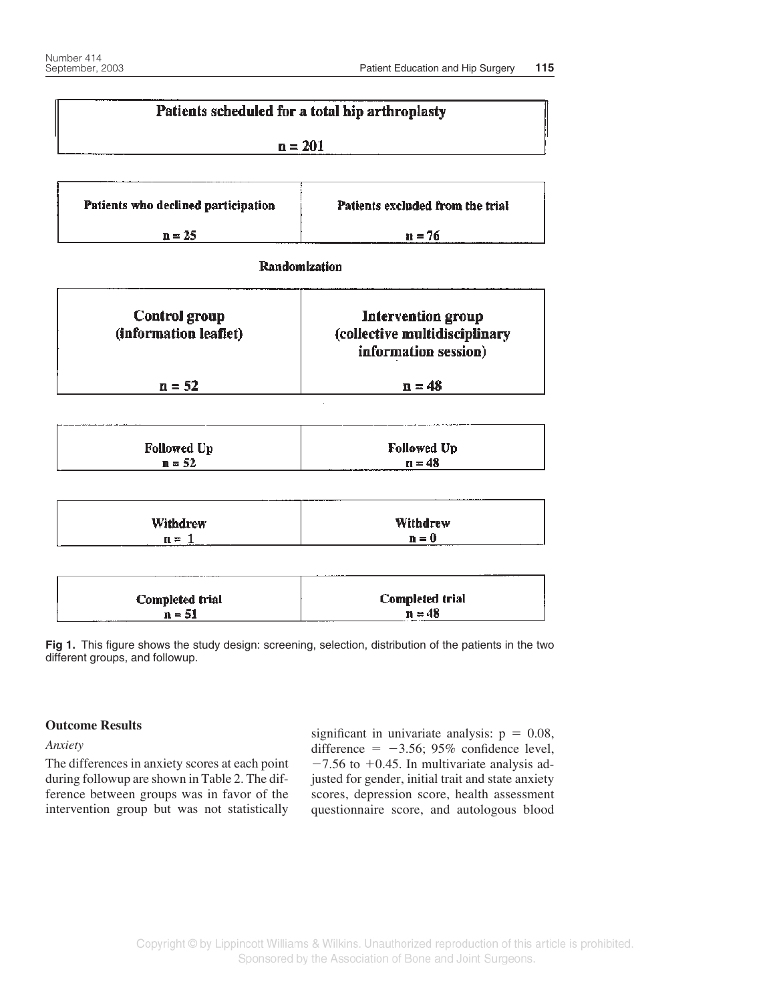| Patients scheduled for a total hip arthroplasty |
|-------------------------------------------------|
|                                                 |

 $n = 201$ 

| Patients who declined participation | Patients excluded from the trial |
|-------------------------------------|----------------------------------|
| $n = 25$                            | $n = 76$                         |

| Randomization |  |
|---------------|--|
|               |  |

| Control group<br>(information leaflet) | Intervention group<br>(collective multidisciplinary<br>information session) |
|----------------------------------------|-----------------------------------------------------------------------------|
| $n = 52$                               | $n = 48$                                                                    |

| <b>Followed Up</b> | <b>Followed Up</b>     |
|--------------------|------------------------|
| $n = 52$           | $n = 48$<br>---------- |

| Withdrew                                            | Withdrew |
|-----------------------------------------------------|----------|
| $\mathbf{u}$                                        | $n = 0$  |
| The parties of the contract of the contract company | $\cdots$ |

| Completed trial        | Completed trial |
|------------------------|-----------------|
| $n = 51$<br>. <b>.</b> | $n = 48$        |

**Fig 1.** This figure shows the study design: screening, selection, distribution of the patients in the two different groups, and followup.

## **Outcome Results**

*Anxiety*

The differences in anxiety scores at each point during followup are shown in Table 2. The difference between groups was in favor of the intervention group but was not statistically

significant in univariate analysis:  $p = 0.08$ , difference  $=$  -3.56; 95% confidence level,  $-7.56$  to  $+0.45$ . In multivariate analysis adjusted for gender, initial trait and state anxiety scores, depression score, health assessment questionnaire score, and autologous blood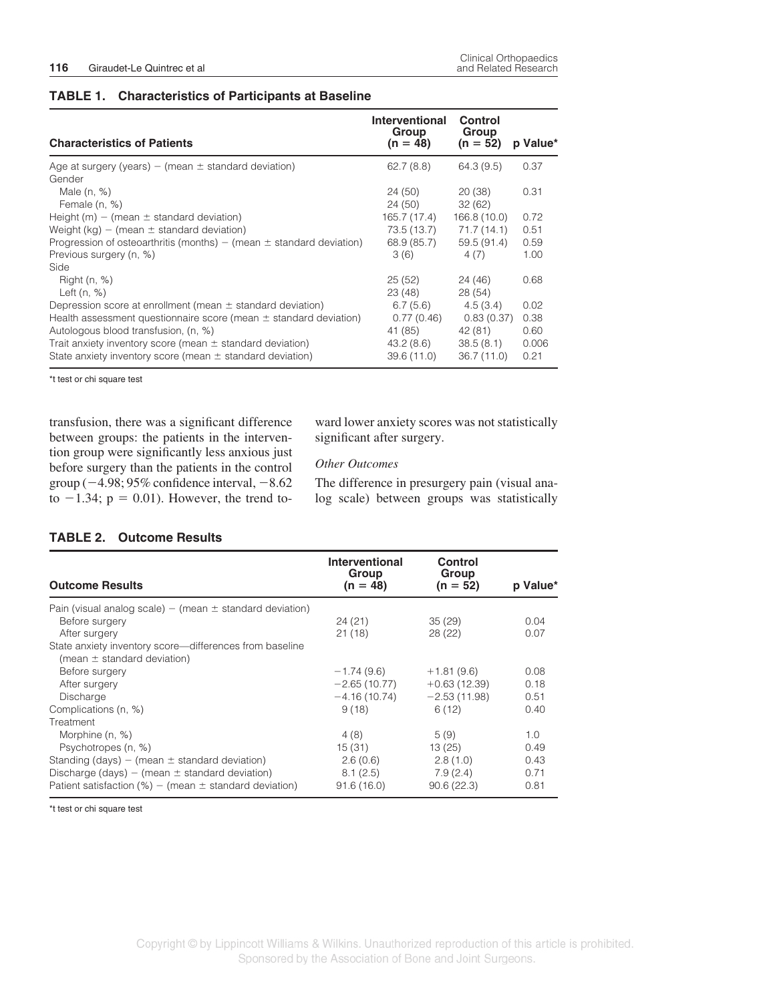# **TABLE 1. Characteristics of Participants at Baseline**

| <b>Characteristics of Patients</b>                                       | <b>Interventional</b><br>Group<br>$(n = 48)$ | Control<br>Group<br>$(n = 52)$ | p Value* |
|--------------------------------------------------------------------------|----------------------------------------------|--------------------------------|----------|
| Age at surgery (years) – (mean $\pm$ standard deviation)                 | 62.7(8.8)                                    | 64.3 (9.5)                     | 0.37     |
| Gender                                                                   |                                              |                                |          |
| Male $(n, %)$                                                            | 24 (50)                                      | 20 (38)                        | 0.31     |
| Female (n, %)                                                            | 24 (50)                                      | 32(62)                         |          |
| Height (m) – (mean $\pm$ standard deviation)                             | 165.7 (17.4)                                 | 166.8 (10.0)                   | 0.72     |
| Weight (kg) – (mean $\pm$ standard deviation)                            | 73.5 (13.7)                                  | 71.7 (14.1)                    | 0.51     |
| Progression of osteoarthritis (months) – (mean $\pm$ standard deviation) | 68.9 (85.7)                                  | 59.5(91.4)                     | 0.59     |
| Previous surgery (n, %)                                                  | 3(6)                                         | 4(7)                           | 1.00     |
| Side                                                                     |                                              |                                |          |
| Right $(n, %)$                                                           | 25 (52)                                      | 24 (46)                        | 0.68     |
| Left $(n, %)$                                                            | 23 (48)                                      | 28(54)                         |          |
| Depression score at enrollment (mean $\pm$ standard deviation)           | 6.7(5.6)                                     | 4.5(3.4)                       | 0.02     |
| Health assessment questionnaire score (mean $\pm$ standard deviation)    | 0.77(0.46)                                   | 0.83(0.37)                     | 0.38     |
| Autologous blood transfusion, (n, %)                                     | 41 (85)                                      | 42 (81)                        | 0.60     |
| Trait anxiety inventory score (mean $\pm$ standard deviation)            | 43.2 (8.6)                                   | 38.5(8.1)                      | 0.006    |
| State anxiety inventory score (mean $\pm$ standard deviation)            | 39.6 (11.0)                                  | 36.7(11.0)                     | 0.21     |

\*t test or chi square test

transfusion, there was a significant difference between groups: the patients in the intervention group were significantly less anxious just before surgery than the patients in the control group ( $-4.98$ ; 95% confidence interval,  $-8.62$ to  $-1.34$ ;  $p = 0.01$ ). However, the trend toward lower anxiety scores was not statistically significant after surgery.

## *Other Outcomes*

The difference in presurgery pain (visual analog scale) between groups was statistically

| <b>Outcome Results</b>                                                                     | <b>Interventional</b><br>Group<br>$(n = 48)$ | Control<br>Group<br>$(n = 52)$ | p Value* |
|--------------------------------------------------------------------------------------------|----------------------------------------------|--------------------------------|----------|
| Pain (visual analog scale) – (mean $\pm$ standard deviation)                               |                                              |                                |          |
| Before surgery                                                                             | 24(21)                                       | 35(29)                         | 0.04     |
| After surgery                                                                              | 21(18)                                       | 28(22)                         | 0.07     |
| State anxiety inventory score—differences from baseline<br>(mean $\pm$ standard deviation) |                                              |                                |          |
| Before surgery                                                                             | $-1.74(9.6)$                                 | $+1.81(9.6)$                   | 0.08     |
| After surgery                                                                              | $-2.65(10.77)$                               | $+0.63(12.39)$                 | 0.18     |
| Discharge                                                                                  | $-4.16(10.74)$                               | $-2.53(11.98)$                 | 0.51     |
| Complications (n, %)                                                                       | 9(18)                                        | 6(12)                          | 0.40     |
| Treatment                                                                                  |                                              |                                |          |
| Morphine (n, %)                                                                            | 4 (8)                                        | 5(9)                           | 1.0      |
| Psychotropes (n, %)                                                                        | 15 (31)                                      | 13 (25)                        | 0.49     |
| Standing (days) – (mean $\pm$ standard deviation)                                          | 2.6(0.6)                                     | 2.8(1.0)                       | 0.43     |
| Discharge (days) – (mean $\pm$ standard deviation)                                         | 8.1(2.5)                                     | 7.9(2.4)                       | 0.71     |
| Patient satisfaction (%) – (mean $\pm$ standard deviation)                                 | 91.6(16.0)                                   | 90.6(22.3)                     | 0.81     |

# **TABLE 2. Outcome Results**

\*t test or chi square test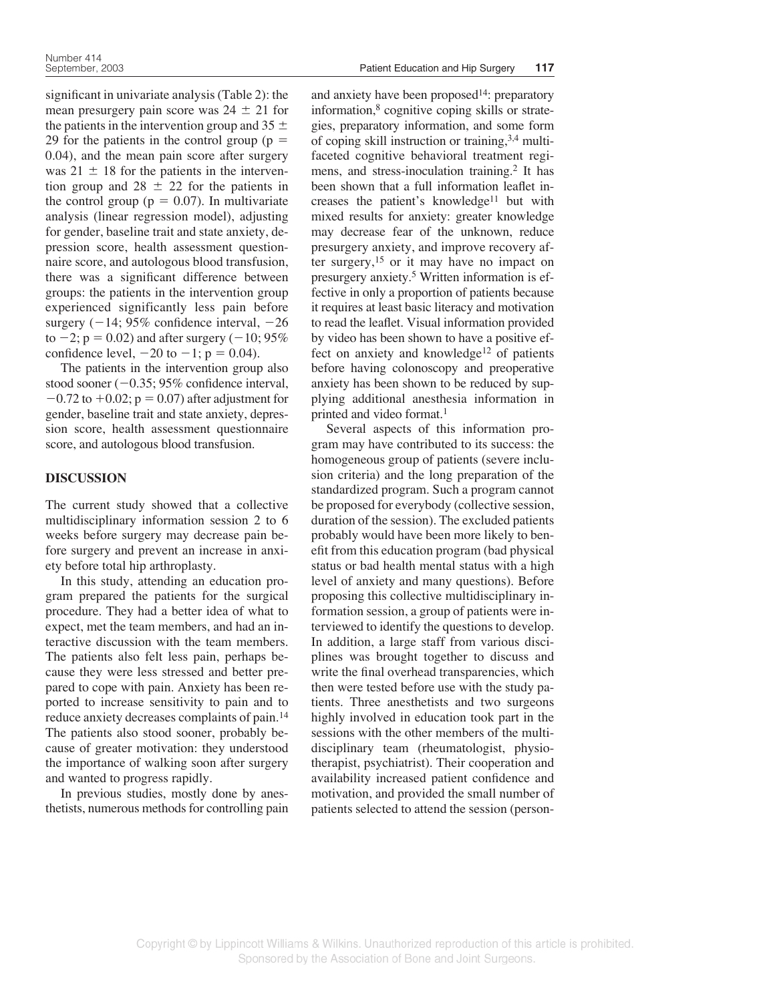significant in univariate analysis (Table 2): the mean presurgery pain score was  $24 \pm 21$  for the patients in the intervention group and 35  $\pm$ 29 for the patients in the control group ( $p =$ 0.04), and the mean pain score after surgery was  $21 \pm 18$  for the patients in the intervention group and  $28 \pm 22$  for the patients in the control group ( $p = 0.07$ ). In multivariate analysis (linear regression model), adjusting for gender, baseline trait and state anxiety, depression score, health assessment questionnaire score, and autologous blood transfusion, there was a significant difference between groups: the patients in the intervention group experienced significantly less pain before surgery  $(-14; 95\%$  confidence interval,  $-26$ to  $-2$ ; p = 0.02) and after surgery (-10; 95% confidence level,  $-20$  to  $-1$ ; p = 0.04).

The patients in the intervention group also stood sooner  $(-0.35; 95\%$  confidence interval,  $-0.72$  to  $+0.02$ ; p = 0.07) after adjustment for gender, baseline trait and state anxiety, depression score, health assessment questionnaire score, and autologous blood transfusion.

## **DISCUSSION**

The current study showed that a collective multidisciplinary information session 2 to 6 weeks before surgery may decrease pain before surgery and prevent an increase in anxiety before total hip arthroplasty.

In this study, attending an education program prepared the patients for the surgical procedure. They had a better idea of what to expect, met the team members, and had an interactive discussion with the team members. The patients also felt less pain, perhaps because they were less stressed and better prepared to cope with pain. Anxiety has been reported to increase sensitivity to pain and to reduce anxiety decreases complaints of pain.14 The patients also stood sooner, probably because of greater motivation: they understood the importance of walking soon after surgery and wanted to progress rapidly.

In previous studies, mostly done by anesthetists, numerous methods for controlling pain

and anxiety have been proposed<sup>14</sup>: preparatory information,8 cognitive coping skills or strategies, preparatory information, and some form of coping skill instruction or training,3,4 multifaceted cognitive behavioral treatment regimens, and stress-inoculation training.2 It has been shown that a full information leaflet increases the patient's knowledge<sup>11</sup> but with mixed results for anxiety: greater knowledge may decrease fear of the unknown, reduce presurgery anxiety, and improve recovery after surgery,15 or it may have no impact on presurgery anxiety.5 Written information is effective in only a proportion of patients because it requires at least basic literacy and motivation to read the leaflet. Visual information provided by video has been shown to have a positive effect on anxiety and knowledge<sup>12</sup> of patients before having colonoscopy and preoperative anxiety has been shown to be reduced by supplying additional anesthesia information in printed and video format.1

Several aspects of this information program may have contributed to its success: the homogeneous group of patients (severe inclusion criteria) and the long preparation of the standardized program. Such a program cannot be proposed for everybody (collective session, duration of the session). The excluded patients probably would have been more likely to benefit from this education program (bad physical status or bad health mental status with a high level of anxiety and many questions). Before proposing this collective multidisciplinary information session, a group of patients were interviewed to identify the questions to develop. In addition, a large staff from various disciplines was brought together to discuss and write the final overhead transparencies, which then were tested before use with the study patients. Three anesthetists and two surgeons highly involved in education took part in the sessions with the other members of the multidisciplinary team (rheumatologist, physiotherapist, psychiatrist). Their cooperation and availability increased patient confidence and motivation, and provided the small number of patients selected to attend the session (person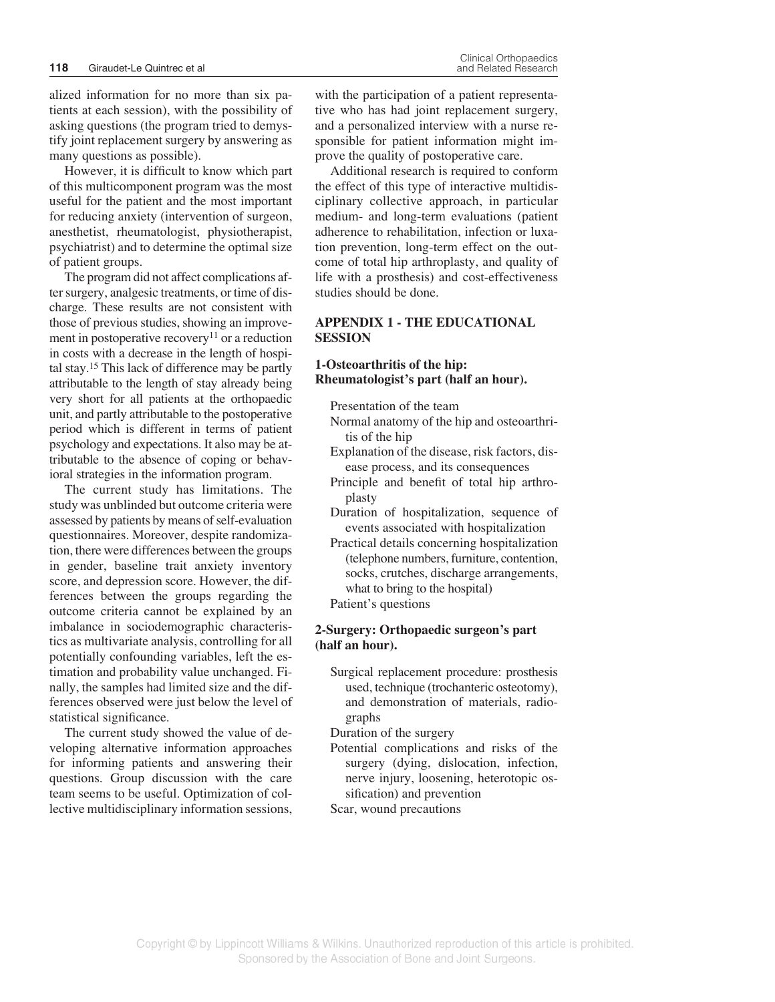alized information for no more than six patients at each session), with the possibility of asking questions (the program tried to demystify joint replacement surgery by answering as many questions as possible).

However, it is difficult to know which part of this multicomponent program was the most useful for the patient and the most important for reducing anxiety (intervention of surgeon, anesthetist, rheumatologist, physiotherapist, psychiatrist) and to determine the optimal size of patient groups.

The program did not affect complications after surgery, analgesic treatments, or time of discharge. These results are not consistent with those of previous studies, showing an improvement in postoperative recovery<sup>11</sup> or a reduction in costs with a decrease in the length of hospital stay.15 This lack of difference may be partly attributable to the length of stay already being very short for all patients at the orthopaedic unit, and partly attributable to the postoperative period which is different in terms of patient psychology and expectations. It also may be attributable to the absence of coping or behavioral strategies in the information program.

The current study has limitations. The study was unblinded but outcome criteria were assessed by patients by means of self-evaluation questionnaires. Moreover, despite randomization, there were differences between the groups in gender, baseline trait anxiety inventory score, and depression score. However, the differences between the groups regarding the outcome criteria cannot be explained by an imbalance in sociodemographic characteristics as multivariate analysis, controlling for all potentially confounding variables, left the estimation and probability value unchanged. Finally, the samples had limited size and the differences observed were just below the level of statistical significance.

The current study showed the value of developing alternative information approaches for informing patients and answering their questions. Group discussion with the care team seems to be useful. Optimization of collective multidisciplinary information sessions, with the participation of a patient representative who has had joint replacement surgery, and a personalized interview with a nurse responsible for patient information might improve the quality of postoperative care.

Additional research is required to conform the effect of this type of interactive multidisciplinary collective approach, in particular medium- and long-term evaluations (patient adherence to rehabilitation, infection or luxation prevention, long-term effect on the outcome of total hip arthroplasty, and quality of life with a prosthesis) and cost-effectiveness studies should be done.

# **APPENDIX 1 - THE EDUCATIONAL SESSION**

# **1-Osteoarthritis of the hip: Rheumatologist's part (half an hour).**

Presentation of the team

- Normal anatomy of the hip and osteoarthritis of the hip
- Explanation of the disease, risk factors, disease process, and its consequences
- Principle and benefit of total hip arthroplasty
- Duration of hospitalization, sequence of events associated with hospitalization
- Practical details concerning hospitalization (telephone numbers, furniture, contention, socks, crutches, discharge arrangements, what to bring to the hospital)
- Patient's questions

## **2-Surgery: Orthopaedic surgeon's part (half an hour).**

- Surgical replacement procedure: prosthesis used, technique (trochanteric osteotomy), and demonstration of materials, radiographs
- Duration of the surgery
- Potential complications and risks of the surgery (dying, dislocation, infection, nerve injury, loosening, heterotopic ossification) and prevention
- Scar, wound precautions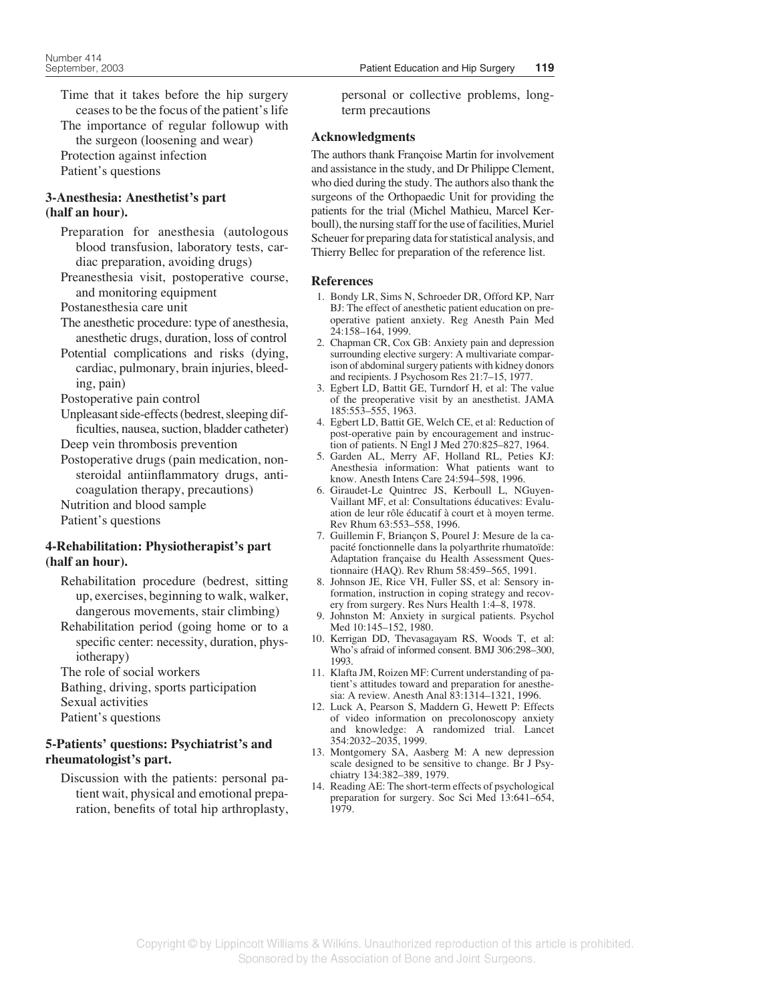Time that it takes before the hip surgery ceases to be the focus of the patient's life

The importance of regular followup with the surgeon (loosening and wear) Protection against infection

Patient's questions

## **3-Anesthesia: Anesthetist's part (half an hour).**

- Preparation for anesthesia (autologous blood transfusion, laboratory tests, cardiac preparation, avoiding drugs)
- Preanesthesia visit, postoperative course, and monitoring equipment

Postanesthesia care unit

- The anesthetic procedure: type of anesthesia, anesthetic drugs, duration, loss of control
- Potential complications and risks (dying, cardiac, pulmonary, brain injuries, bleeding, pain)
- Postoperative pain control
- Unpleasant side-effects (bedrest, sleeping difficulties, nausea, suction, bladder catheter)
- Deep vein thrombosis prevention
- Postoperative drugs (pain medication, nonsteroidal antiinflammatory drugs, anticoagulation therapy, precautions) Nutrition and blood sample

Patient's questions

## **4-Rehabilitation: Physiotherapist's part (half an hour).**

- Rehabilitation procedure (bedrest, sitting up, exercises, beginning to walk, walker, dangerous movements, stair climbing)
- Rehabilitation period (going home or to a specific center: necessity, duration, physiotherapy)

The role of social workers

Bathing, driving, sports participation Sexual activities

Patient's questions

# **5-Patients' questions: Psychiatrist's and rheumatologist's part.**

Discussion with the patients: personal patient wait, physical and emotional preparation, benefits of total hip arthroplasty, personal or collective problems, longterm precautions

#### **Acknowledgments**

The authors thank Françoise Martin for involvement and assistance in the study, and Dr Philippe Clement, who died during the study. The authors also thank the surgeons of the Orthopaedic Unit for providing the patients for the trial (Michel Mathieu, Marcel Kerboull), the nursing staff for the use of facilities, Muriel Scheuer for preparing data for statistical analysis, and Thierry Bellec for preparation of the reference list.

#### **References**

- 1. Bondy LR, Sims N, Schroeder DR, Offord KP, Narr BJ: The effect of anesthetic patient education on preoperative patient anxiety. Reg Anesth Pain Med 24:158–164, 1999.
- 2. Chapman CR, Cox GB: Anxiety pain and depression surrounding elective surgery: A multivariate comparison of abdominal surgery patients with kidney donors and recipients. J Psychosom Res 21:7–15, 1977.
- 3. Egbert LD, Battit GE, Turndorf H, et al: The value of the preoperative visit by an anesthetist. JAMA 185:553–555, 1963.
- 4. Egbert LD, Battit GE, Welch CE, et al: Reduction of post-operative pain by encouragement and instruction of patients. N Engl J Med 270:825–827, 1964.
- 5. Garden AL, Merry AF, Holland RL, Peties KJ: Anesthesia information: What patients want to know. Anesth Intens Care 24:594–598, 1996.
- 6. Giraudet-Le Quintrec JS, Kerboull L, NGuyen-Vaillant MF, et al: Consultations éducatives: Evaluation de leur rôle éducatif à court et à moyen terme. Rev Rhum 63:553–558, 1996.
- 7. Guillemin F, Briançon S, Pourel J: Mesure de la capacité fonctionnelle dans la polyarthrite rhumatoïde: Adaptation française du Health Assessment Questionnaire (HAQ). Rev Rhum 58:459–565, 1991.
- 8. Johnson JE, Rice VH, Fuller SS, et al: Sensory information, instruction in coping strategy and recovery from surgery. Res Nurs Health 1:4–8, 1978.
- 9. Johnston M: Anxiety in surgical patients. Psychol Med 10:145–152, 1980.
- 10. Kerrigan DD, Thevasagayam RS, Woods T, et al: Who's afraid of informed consent. BMJ 306:298–300, 1993.
- 11. Klafta JM, Roizen MF: Current understanding of patient's attitudes toward and preparation for anesthesia: A review. Anesth Anal 83:1314–1321, 1996.
- 12. Luck A, Pearson S, Maddern G, Hewett P: Effects of video information on precolonoscopy anxiety and knowledge: A randomized trial. Lancet 354:2032–2035, 1999.
- 13. Montgomery SA, Aasberg M: A new depression scale designed to be sensitive to change. Br J Psychiatry 134:382–389, 1979.
- 14. Reading AE: The short-term effects of psychological preparation for surgery. Soc Sci Med 13:641–654, 1979.